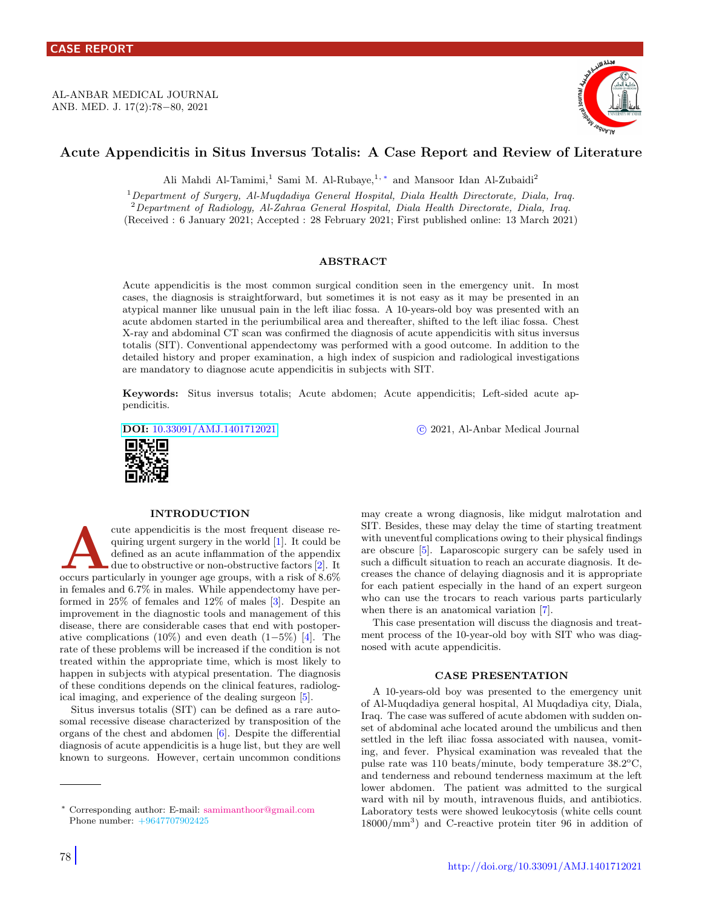AL-ANBAR MEDICAL JOURNAL ANB. MED. J. 17(2):78−80, 2021



# Acute Appendicitis in Situs Inversus Totalis: A Case Report and Review of Literature

Ali Mahdi Al-Tamimi,<sup>1</sup> Sami M. Al-Rubaye,<sup>1,\*</sup> and Mansoor Idan Al-Zubaidi<sup>2</sup>

<sup>1</sup>Department of Surgery, Al-Muqdadiya General Hospital, Diala Health Directorate, Diala, Iraq. <sup>2</sup>Department of Radiology, Al-Zahraa General Hospital, Diala Health Directorate, Diala, Iraq. (Received : 6 January 2021; Accepted : 28 February 2021; First published online: 13 March 2021)

# ABSTRACT

Acute appendicitis is the most common surgical condition seen in the emergency unit. In most cases, the diagnosis is straightforward, but sometimes it is not easy as it may be presented in an atypical manner like unusual pain in the left iliac fossa. A 10-years-old boy was presented with an acute abdomen started in the periumbilical area and thereafter, shifted to the left iliac fossa. Chest X-ray and abdominal CT scan was confirmed the diagnosis of acute appendicitis with situs inversus totalis (SIT). Conventional appendectomy was performed with a good outcome. In addition to the detailed history and proper examination, a high index of suspicion and radiological investigations are mandatory to diagnose acute appendicitis in subjects with SIT.

Keywords: Situs inversus totalis; Acute abdomen; Acute appendicitis; Left-sided acute appendicitis.



#### INTRODUCTION

cute appendicitis is the most frequent disease requiring urgent surgery in the world [1]. It could be defined as an acute inflammation of the appendix due to obstructive or non-obstructive factors [2]. It occurs particular cute appendicitis is the most frequent disease requiring urgent surgery in the world [\[1\]](#page-2-0). It could be defined as an acute inflammation of the appendix due to obstructive or non-obstructive factors [\[2\]](#page-2-1). It in females and 6.7% in males. While appendectomy have performed in 25% of females and 12% of males [\[3\]](#page-2-2). Despite an improvement in the diagnostic tools and management of this disease, there are considerable cases that end with postoper-ative complications (10%) and even death (1–5%) [\[4\]](#page-2-3). The rate of these problems will be increased if the condition is not treated within the appropriate time, which is most likely to happen in subjects with atypical presentation. The diagnosis of these conditions depends on the clinical features, radiological imaging, and experience of the dealing surgeon [\[5\]](#page-2-4).

Situs inversus totalis (SIT) can be defined as a rare autosomal recessive disease characterized by transposition of the organs of the chest and abdomen [\[6\]](#page-2-5). Despite the differential diagnosis of acute appendicitis is a huge list, but they are well known to surgeons. However, certain uncommon conditions

78

DOI: [10.33091/AMJ.1401712021](http://dx.doi.org/10.33091/AMJ.1401712021) c 2021, Al-Anbar Medical Journal

may create a wrong diagnosis, like midgut malrotation and SIT. Besides, these may delay the time of starting treatment with uneventful complications owing to their physical findings are obscure [\[5\]](#page-2-4). Laparoscopic surgery can be safely used in such a difficult situation to reach an accurate diagnosis. It decreases the chance of delaying diagnosis and it is appropriate for each patient especially in the hand of an expert surgeon who can use the trocars to reach various parts particularly when there is an anatomical variation [\[7\]](#page-2-6).

This case presentation will discuss the diagnosis and treatment process of the 10-year-old boy with SIT who was diagnosed with acute appendicitis.

#### CASE PRESENTATION

A 10-years-old boy was presented to the emergency unit of Al-Muqdadiya general hospital, Al Muqdadiya city, Diala, Iraq. The case was suffered of acute abdomen with sudden onset of abdominal ache located around the umbilicus and then settled in the left iliac fossa associated with nausea, vomiting, and fever. Physical examination was revealed that the pulse rate was 110 beats/minute, body temperature  $38.2^{\circ}$ C, and tenderness and rebound tenderness maximum at the left lower abdomen. The patient was admitted to the surgical ward with nil by mouth, intravenous fluids, and antibiotics. Laboratory tests were showed leukocytosis (white cells count 18000/mm<sup>3</sup> ) and C-reactive protein titer 96 in addition of

<span id="page-0-0"></span><sup>∗</sup> Corresponding author: E-mail: [samimanthoor@gmail.com](mailto:samimanthoor@gmail.com \hskip 2.0em) Phone number: +9647707902425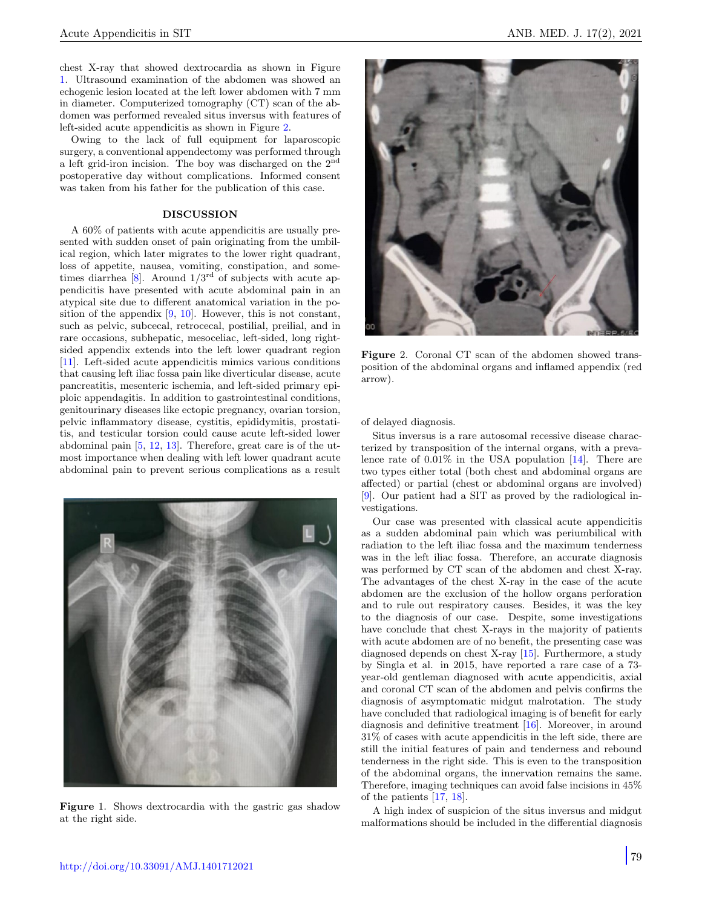chest X-ray that showed dextrocardia as shown in Figure [1.](#page-1-0) Ultrasound examination of the abdomen was showed an echogenic lesion located at the left lower abdomen with 7 mm in diameter. Computerized tomography (CT) scan of the abdomen was performed revealed situs inversus with features of left-sided acute appendicitis as shown in Figure [2.](#page-1-1)

Owing to the lack of full equipment for laparoscopic surgery, a conventional appendectomy was performed through a left grid-iron incision. The boy was discharged on the 2nd postoperative day without complications. Informed consent was taken from his father for the publication of this case.

# DISCUSSION

A 60% of patients with acute appendicitis are usually presented with sudden onset of pain originating from the umbilical region, which later migrates to the lower right quadrant, loss of appetite, nausea, vomiting, constipation, and sometimes diarrhea  $[8]$ . Around  $1/3^{rd}$  of subjects with acute appendicitis have presented with acute abdominal pain in an atypical site due to different anatomical variation in the position of the appendix  $[9, 10]$  $[9, 10]$  $[9, 10]$ . However, this is not constant, such as pelvic, subcecal, retrocecal, postilial, preilial, and in rare occasions, subhepatic, mesoceliac, left-sided, long rightsided appendix extends into the left lower quadrant region [\[11\]](#page-2-10). Left-sided acute appendicitis mimics various conditions that causing left iliac fossa pain like diverticular disease, acute pancreatitis, mesenteric ischemia, and left-sided primary epiploic appendagitis. In addition to gastrointestinal conditions, genitourinary diseases like ectopic pregnancy, ovarian torsion, pelvic inflammatory disease, cystitis, epididymitis, prostatitis, and testicular torsion could cause acute left-sided lower abdominal pain [\[5,](#page-2-4) [12,](#page-2-11) [13\]](#page-2-12). Therefore, great care is of the utmost importance when dealing with left lower quadrant acute abdominal pain to prevent serious complications as a result



Figure 1. Shows dextrocardia with the gastric gas shadow at the right side.



Figure 2. Coronal CT scan of the abdomen showed transposition of the abdominal organs and inflamed appendix (red arrow).

<span id="page-1-1"></span>of delayed diagnosis.

Situs inversus is a rare autosomal recessive disease characterized by transposition of the internal organs, with a prevalence rate of 0.01% in the USA population [\[14\]](#page-2-13). There are two types either total (both chest and abdominal organs are affected) or partial (chest or abdominal organs are involved) [\[9\]](#page-2-8). Our patient had a SIT as proved by the radiological investigations.

Our case was presented with classical acute appendicitis as a sudden abdominal pain which was periumbilical with radiation to the left iliac fossa and the maximum tenderness was in the left iliac fossa. Therefore, an accurate diagnosis was performed by CT scan of the abdomen and chest X-ray. The advantages of the chest X-ray in the case of the acute abdomen are the exclusion of the hollow organs perforation and to rule out respiratory causes. Besides, it was the key to the diagnosis of our case. Despite, some investigations have conclude that chest X-rays in the majority of patients with acute abdomen are of no benefit, the presenting case was diagnosed depends on chest X-ray [\[15\]](#page-2-14). Furthermore, a study by Singla et al. in 2015, have reported a rare case of a 73 year-old gentleman diagnosed with acute appendicitis, axial and coronal CT scan of the abdomen and pelvis confirms the diagnosis of asymptomatic midgut malrotation. The study have concluded that radiological imaging is of benefit for early diagnosis and definitive treatment [\[16\]](#page-2-15). Moreover, in around 31% of cases with acute appendicitis in the left side, there are still the initial features of pain and tenderness and rebound tenderness in the right side. This is even to the transposition of the abdominal organs, the innervation remains the same. Therefore, imaging techniques can avoid false incisions in 45% of the patients [\[17,](#page-2-16) [18\]](#page-2-17).

<span id="page-1-0"></span>A high index of suspicion of the situs inversus and midgut malformations should be included in the differential diagnosis